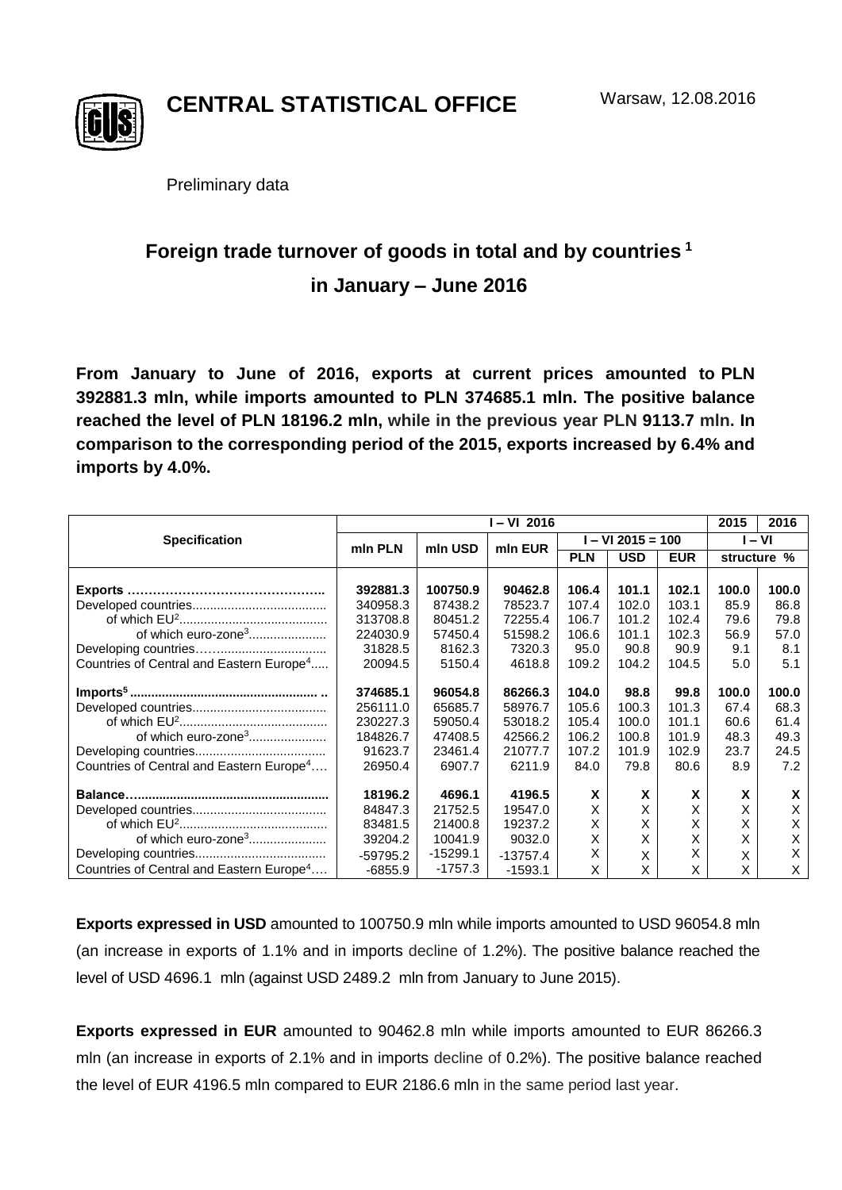

**CENTRAL STATISTICAL OFFICE**

Preliminary data

## **Foreign trade turnover of goods in total and by countries <sup>1</sup> in January – June 2016**

**From January to June of 2016, exports at current prices amounted to PLN 392881.3 mln, while imports amounted to PLN 374685.1 mln. The positive balance reached the level of PLN 18196.2 mln, while in the previous year PLN 9113.7 mln. In comparison to the corresponding period of the 2015, exports increased by 6.4% and imports by 4.0%.**

|                                                      | I – VI 2016 |            |            |                   |            |            | 2015        | 2016  |
|------------------------------------------------------|-------------|------------|------------|-------------------|------------|------------|-------------|-------|
| <b>Specification</b>                                 | min PLN     | mln USD    | min EUR    | $-$ VI 2015 = 100 |            |            | I – VI      |       |
|                                                      |             |            |            | <b>PLN</b>        | <b>USD</b> | <b>EUR</b> | structure % |       |
|                                                      |             |            |            |                   |            |            |             |       |
| Exports.                                             | 392881.3    | 100750.9   | 90462.8    | 106.4             | 101.1      | 102.1      | 100.0       | 100.0 |
|                                                      | 340958.3    | 87438.2    | 78523.7    | 107.4             | 102.0      | 103.1      | 85.9        | 86.8  |
|                                                      | 313708.8    | 80451.2    | 72255.4    | 106.7             | 101.2      | 102.4      | 79.6        | 79.8  |
| of which euro-zone <sup>3</sup>                      | 224030.9    | 57450.4    | 51598.2    | 106.6             | 101.1      | 102.3      | 56.9        | 57.0  |
|                                                      | 31828.5     | 8162.3     | 7320.3     | 95.0              | 90.8       | 90.9       | 9.1         | 8.1   |
| Countries of Central and Eastern Europe <sup>4</sup> | 20094.5     | 5150.4     | 4618.8     | 109.2             | 104.2      | 104.5      | 5.0         | 5.1   |
|                                                      | 374685.1    | 96054.8    | 86266.3    | 104.0             | 98.8       | 99.8       | 100.0       | 100.0 |
|                                                      | 256111.0    | 65685.7    | 58976.7    | 105.6             | 100.3      | 101.3      | 67.4        | 68.3  |
|                                                      | 230227.3    | 59050.4    | 53018.2    | 105.4             | 100.0      | 101.1      | 60.6        | 61.4  |
| of which euro-zone <sup>3</sup>                      | 184826.7    | 47408.5    | 42566.2    | 106.2             | 100.8      | 101.9      | 48.3        | 49.3  |
|                                                      | 91623.7     | 23461.4    | 21077.7    | 107.2             | 101.9      | 102.9      | 23.7        | 24.5  |
| Countries of Central and Eastern Europe <sup>4</sup> | 26950.4     | 6907.7     | 6211.9     | 84.0              | 79.8       | 80.6       | 8.9         | 7.2   |
|                                                      |             |            |            |                   |            |            |             |       |
|                                                      | 18196.2     | 4696.1     | 4196.5     | X                 | X          | X          | X           | X     |
|                                                      | 84847.3     | 21752.5    | 19547.0    | X                 | X          | X          | X           | X     |
|                                                      | 83481.5     | 21400.8    | 19237.2    | X                 | Χ          | X          | Χ           | X     |
| of which euro-zone <sup>3</sup>                      | 39204.2     | 10041.9    | 9032.0     | Χ                 | X          | Χ          | X           | Χ     |
|                                                      | $-59795.2$  | $-15299.1$ | $-13757.4$ | X                 | X          | X          | X           | X     |
| Countries of Central and Eastern Europe <sup>4</sup> | $-6855.9$   | $-1757.3$  | $-1593.1$  | X                 | X          | X          | Χ           | X     |

**Exports expressed in USD** amounted to 100750.9 mln while imports amounted to USD 96054.8 mln (an increase in exports of 1.1% and in imports decline of 1.2%). The positive balance reached the level of USD 4696.1 mln (against USD 2489.2 mln from January to June 2015).

**Exports expressed in EUR** amounted to 90462.8 mln while imports amounted to EUR 86266.3 mln (an increase in exports of 2.1% and in imports decline of 0.2%). The positive balance reached the level of EUR 4196.5 mln compared to EUR 2186.6 mln in the same period last year.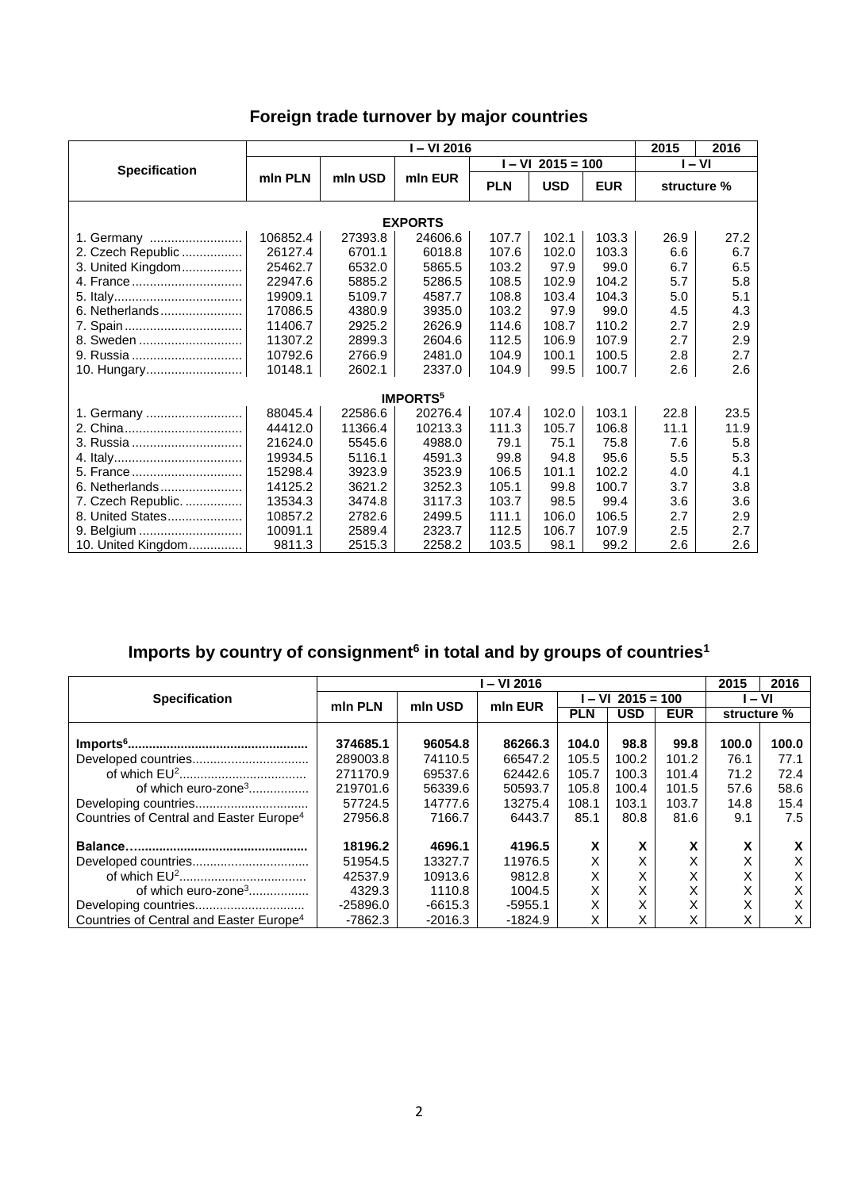| Foreign trade turnover by major countries |  |  |  |
|-------------------------------------------|--|--|--|
|-------------------------------------------|--|--|--|

|                            | I-VI 2016 |                    |         |            |                   | 2015<br>2016 |             |      |  |  |
|----------------------------|-----------|--------------------|---------|------------|-------------------|--------------|-------------|------|--|--|
| <b>Specification</b>       |           |                    |         |            | $- VI$ 2015 = 100 | $-VI$        |             |      |  |  |
|                            | min PLN   | mln EUR<br>mln USD |         | <b>PLN</b> | <b>USD</b>        | <b>EUR</b>   | structure % |      |  |  |
| <b>EXPORTS</b>             |           |                    |         |            |                   |              |             |      |  |  |
| 1. Germany                 | 106852.4  | 27393.8            | 24606.6 | 107.7      | 102.1             | 103.3        | 26.9        | 27.2 |  |  |
| 2. Czech Republic          | 26127.4   | 6701.1             | 6018.8  | 107.6      | 102.0             | 103.3        | 6.6         | 6.7  |  |  |
| 3. United Kingdom          | 25462.7   | 6532.0             | 5865.5  | 103.2      | 97.9              | 99.0         | 6.7         | 6.5  |  |  |
| 4. France                  | 22947.6   | 5885.2             | 5286.5  | 108.5      | 102.9             | 104.2        | 5.7         | 5.8  |  |  |
|                            | 19909.1   | 5109.7             | 4587.7  | 108.8      | 103.4             | 104.3        | 5.0         | 5.1  |  |  |
| 6. Netherlands             | 17086.5   | 4380.9             | 3935.0  | 103.2      | 97.9              | 99.0         | 4.5         | 4.3  |  |  |
| 7. Spain                   | 11406.7   | 2925.2             | 2626.9  | 114.6      | 108.7             | 110.2        | 2.7         | 2.9  |  |  |
| 8. Sweden                  | 11307.2   | 2899.3             | 2604.6  | 112.5      | 106.9             | 107.9        | 2.7         | 2.9  |  |  |
| 9. Russia                  | 10792.6   | 2766.9             | 2481.0  | 104.9      | 100.1             | 100.5        | 2.8         | 2.7  |  |  |
| 10. Hungary                | 10148.1   | 2602.1             | 2337.0  | 104.9      | 99.5              | 100.7        | 2.6         | 2.6  |  |  |
| <b>IMPORTS<sup>5</sup></b> |           |                    |         |            |                   |              |             |      |  |  |
| 1. Germany                 | 88045.4   | 22586.6            | 20276.4 | 107.4      | 102.0             | 103.1        | 22.8        | 23.5 |  |  |
|                            | 44412.0   | 11366.4            | 10213.3 | 111.3      | 105.7             | 106.8        | 11.1        | 11.9 |  |  |
| 3. Russia                  | 21624.0   | 5545.6             | 4988.0  | 79.1       | 75.1              | 75.8         | 7.6         | 5.8  |  |  |
|                            | 19934.5   | 5116.1             | 4591.3  | 99.8       | 94.8              | 95.6         | 5.5         | 5.3  |  |  |
| 5. France                  | 15298.4   | 3923.9             | 3523.9  | 106.5      | 101.1             | 102.2        | 4.0         | 4.1  |  |  |
| 6. Netherlands             | 14125.2   | 3621.2             | 3252.3  | 105.1      | 99.8              | 100.7        | 3.7         | 3.8  |  |  |
| 7. Czech Republic.         | 13534.3   | 3474.8             | 3117.3  | 103.7      | 98.5              | 99.4         | 3.6         | 3.6  |  |  |
| 8. United States           | 10857.2   | 2782.6             | 2499.5  | 111.1      | 106.0             | 106.5        | 2.7         | 2.9  |  |  |
| 9. Belgium                 | 10091.1   | 2589.4             | 2323.7  | 112.5      | 106.7             | 107.9        | 2.5         | 2.7  |  |  |
| 10. United Kingdom         | 9811.3    | 2515.3             | 2258.2  | 103.5      | 98.1              | 99.2         | 2.6         | 2.6  |  |  |

## **Imports by country of consignment<sup>6</sup> in total and by groups of countries<sup>1</sup>**

|                                                     | – VI 2016  |           |           |                   |            |                   |             | 2016  |
|-----------------------------------------------------|------------|-----------|-----------|-------------------|------------|-------------------|-------------|-------|
| <b>Specification</b>                                | min PLN    | mln USD   | min EUR   | $- VI$ 2015 = 100 |            |                   | $-VI$       |       |
|                                                     |            |           |           | <b>PLN</b>        | <b>USD</b> | <b>EUR</b>        | structure % |       |
|                                                     |            |           |           |                   |            |                   |             |       |
|                                                     | 374685.1   | 96054.8   | 86266.3   | 104.0             | 98.8       | 99.8              | 100.0       | 100.0 |
|                                                     | 289003.8   | 74110.5   | 66547.2   | 105.5             | 100.2      | 101.2             | 76.1        | 77.1  |
|                                                     | 271170.9   | 69537.6   | 62442.6   | 105.7             | 100.3      | 101.4             | 71.2        | 72.4  |
| of which euro-zone <sup>3</sup>                     | 219701.6   | 56339.6   | 50593.7   | 105.8             | 100.4      | 101.5             | 57.6        | 58.6  |
|                                                     | 57724.5    | 14777.6   | 13275.4   | 108.1             | 103.1      | 103.7             | 14.8        | 15.4  |
| Countries of Central and Easter Europe <sup>4</sup> | 27956.8    | 7166.7    | 6443.7    | 85.1              | 80.8       | 81.6              | 9.1         | 7.5   |
|                                                     | 18196.2    | 4696.1    | 4196.5    | x                 | X          | v<br>$\lambda$    | x           | x     |
|                                                     | 51954.5    | 13327.7   | 11976.5   | Χ                 | Х          | $\checkmark$      | X           | Χ     |
|                                                     | 42537.9    | 10913.6   | 9812.8    | X                 | х          | ⋏<br>$\checkmark$ | Χ           | x     |
| of which euro-zone <sup>3</sup>                     | 4329.3     | 1110.8    | 1004.5    | X                 | X          | ⋏<br>v            | v           | X     |
|                                                     | $-25896.0$ | $-6615.3$ | $-5955.1$ | x                 | X          | $\lambda$<br>X    | ∧<br>X      | X     |
| Countries of Central and Easter Europe <sup>4</sup> |            |           |           | x                 | x          | v                 | x           | X     |
|                                                     | $-7862.3$  | $-2016.3$ | $-1824.9$ |                   |            | ́                 |             |       |